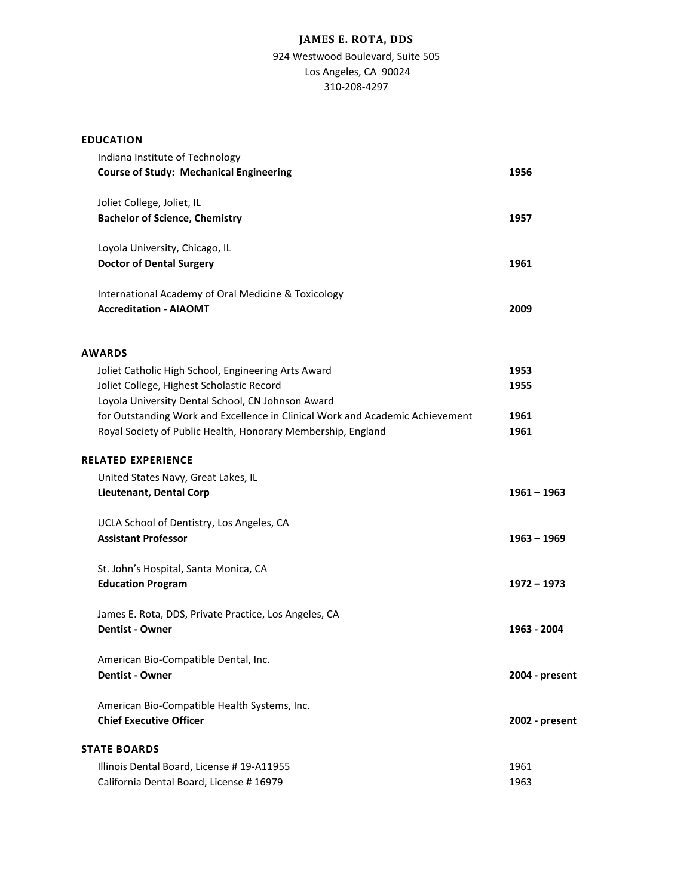# **JAMES E. ROTA, DDS**

## 924 Westwood Boulevard, Suite 505 Los Angeles, CA 90024 310-208-4297

### **EDUCATION**

| Indiana Institute of Technology<br><b>Course of Study: Mechanical Engineering</b>                                                                     | 1956           |
|-------------------------------------------------------------------------------------------------------------------------------------------------------|----------------|
| Joliet College, Joliet, IL<br><b>Bachelor of Science, Chemistry</b>                                                                                   | 1957           |
| Loyola University, Chicago, IL<br><b>Doctor of Dental Surgery</b>                                                                                     | 1961           |
| International Academy of Oral Medicine & Toxicology<br><b>Accreditation - AIAOMT</b>                                                                  | 2009           |
| <b>AWARDS</b>                                                                                                                                         |                |
| Joliet Catholic High School, Engineering Arts Award<br>Joliet College, Highest Scholastic Record<br>Loyola University Dental School, CN Johnson Award | 1953<br>1955   |
| for Outstanding Work and Excellence in Clinical Work and Academic Achievement<br>Royal Society of Public Health, Honorary Membership, England         | 1961<br>1961   |
| <b>RELATED EXPERIENCE</b>                                                                                                                             |                |
| United States Navy, Great Lakes, IL<br>Lieutenant, Dental Corp                                                                                        | $1961 - 1963$  |
| UCLA School of Dentistry, Los Angeles, CA<br><b>Assistant Professor</b>                                                                               | $1963 - 1969$  |
| St. John's Hospital, Santa Monica, CA<br><b>Education Program</b>                                                                                     | 1972 – 1973    |
| James E. Rota, DDS, Private Practice, Los Angeles, CA<br><b>Dentist - Owner</b>                                                                       | 1963 - 2004    |
| American Bio-Compatible Dental, Inc.<br><b>Dentist - Owner</b>                                                                                        | 2004 - present |
| American Bio-Compatible Health Systems, Inc.<br><b>Chief Executive Officer</b>                                                                        | 2002 - present |
| <b>STATE BOARDS</b>                                                                                                                                   |                |
| Illinois Dental Board, License # 19-A11955<br>California Dental Board, License #16979                                                                 | 1961<br>1963   |